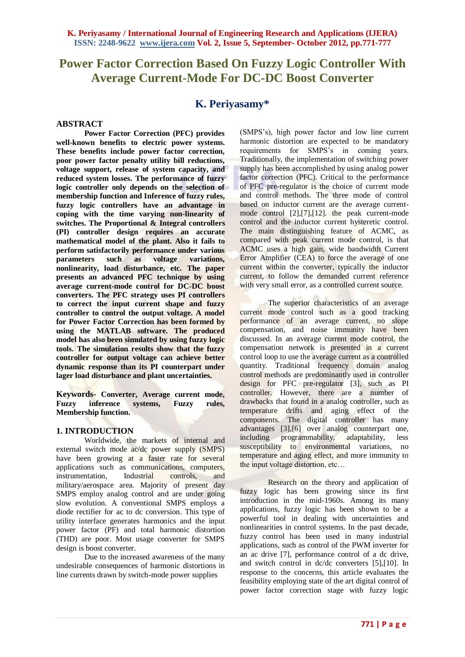# **Power Factor Correction Based On Fuzzy Logic Controller With Average Current-Mode For DC-DC Boost Converter**

## **K. Periyasamy\***

#### **ABSTRACT**

**Power Factor Correction (PFC) provides well-known benefits to electric power systems. These benefits include power factor correction, poor power factor penalty utility bill reductions, voltage support, release of system capacity, and reduced system losses. The performance of fuzzy logic controller only depends on the selection of membership function and Inference of fuzzy rules, fuzzy logic controllers have an advantage in coping with the time varying non-linearity of switches. The Proportional & Integral controllers (PI) controller design requires an accurate mathematical model of the plant. Also it fails to perform satisfactorily performance under various parameters such as voltage variations, nonlinearity, load disturbance, etc. The paper presents an advanced PFC technique by using average current-mode control for DC-DC boost converters. The PFC strategy uses PI controllers to correct the input current shape and fuzzy controller to control the output voltage. A model for Power Factor Correction has been formed by using the MATLAB software. The produced model has also been simulated by using fuzzy logic tools. The simulation results show that the fuzzy controller for output voltage can achieve better dynamic response than its PI counterpart under lager load disturbance and plant uncertainties.** 

**Keywords- Converter, Average current mode, Fuzzy inference systems, Fuzzy rules, Membership function.**

## **1. INTRODUCTION**

Worldwide, the markets of internal and external switch mode ac/dc power supply (SMPS) have been growing at a faster rate for several applications such as communications, computers, instrumentation, Industrial controls, and military/aerospace area. Majority of present day SMPS employ analog control and are under going slow evolution. A conventional SMPS employs a diode rectifier for ac to dc conversion. This type of utility interface generates harmonics and the input power factor (PF) and total harmonic distortion (THD) are poor. Most usage converter for SMPS design is boost converter.

Due to the increased awareness of the many undesirable consequences of harmonic distortions in line currents drawn by switch-mode power supplies

(SMPS's), high power factor and low line current harmonic distortion are expected to be mandatory requirements for SMPS's in coming years. Traditionally, the implementation of switching power supply has been accomplished by using analog power factor correction (PFC). Critical to the performance of PFC pre-regulator is the choice of current mode and control methods. The three mode of control based on inductor current are the average currentmode control [2],[7],[12]. the peak current-mode control and the inductor current hysteretic control. The main distinguishing feature of ACMC, as compared with peak current mode control, is that ACMC uses a high gain, wide bandwidth Current Error Amplifier (CEA) to force the average of one current within the converter, typically the inductor current, to follow the demanded current reference with very small error, as a controlled current source.

The superior characteristics of an average current mode control such as a good tracking performance of an average current, no slope compensation, and noise immunity have been discussed. In an average current mode control, the compensation network is presented in a current control loop to use the average current as a controlled quantity. Traditional frequency domain analog control methods are predominantly used in controller design for PFC pre-regulator [3], such as PI controller. However, there are a number of drawbacks that found in a analog controller, such as temperature drifts and aging effect of the components. The digital controller has many advantages [3],[6] over analog counterpart one, including programmability, adaptability, less susceptibility to environmental variations, no temperature and aging effect, and more immunity to the input voltage distortion, etc…

Research on the theory and application of fuzzy logic has been growing since its first introduction in the mid-1960s. Among its many applications, fuzzy logic has been shown to be a powerful tool in dealing with uncertainties and nonlinearities in control systems. In the past decade, fuzzy control has been used in many industrial applications, such as control of the PWM inverter for an ac drive [7], performance control of a dc drive, and switch control in dc/dc converters [5],[10]. In response to the concerns, this article evaluates the feasibility employing state of the art digital control of power factor correction stage with fuzzy logic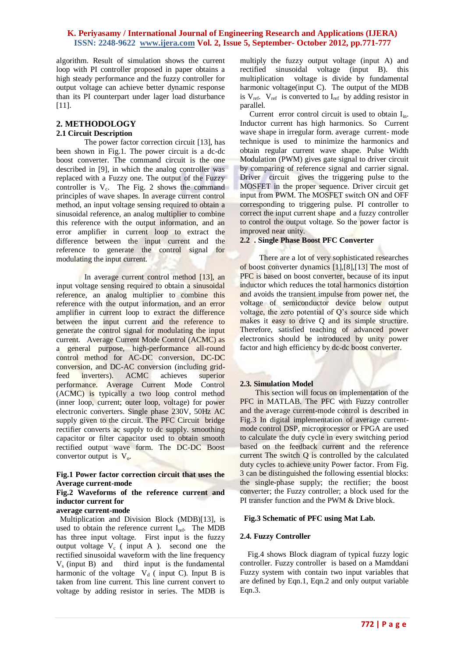algorithm. Result of simulation shows the current loop with PI controller proposed in paper obtains a high steady performance and the fuzzy controller for output voltage can achieve better dynamic response than its PI counterpart under lager load disturbance [11].

## **2. METHODOLOGY**

#### **2.1 Circuit Description**

The power factor correction circuit [13], has been shown in Fig.1. The power circuit is a dc-dc boost converter. The command circuit is the one described in [9], in which the analog controller was replaced with a Fuzzy one. The output of the Fuzzy controller is  $V_c$ . The Fig. 2 shows the command principles of wave shapes. In average current control method, an input voltage sensing required to obtain a sinusoidal reference, an analog multiplier to combine this reference with the output information, and an error amplifier in current loop to extract the difference between the input current and the reference to generate the control signal for modulating the input current.

In average current control method [13], an input voltage sensing required to obtain a sinusoidal reference, an analog multiplier to combine this reference with the output information, and an error amplifier in current loop to extract the difference between the input current and the reference to generate the control signal for modulating the input current. Average Current Mode Control (ACMC) as a general purpose, high-performance all-round control method for AC-DC conversion, DC-DC conversion, and DC-AC conversion (including gridfeed inverters). ACMC achieves superior performance. Average Current Mode Control (ACMC) is typically a two loop control method (inner loop, current; outer loop, voltage) for power electronic converters. Single phase 230V, 50Hz AC supply given to the circuit. The PFC Circuit bridge rectifier converts ac supply to dc supply. smoothing capacitor or filter capacitor used to obtain smooth rectified output wave form. The DC-DC Boost convertor output is  $V_0$ .

#### **Fig.1 Power factor correction circuit that uses the Average current-mode**

## **Fig.2 Waveforms of the reference current and inductor current for**

## **average current-mode**

 Multiplication and Division Block (MDB)[13], is used to obtain the reference current  $I_{ref}$ . The MDB has three input voltage. First input is the fuzzy output voltage  $V_c$  (input A ). second one the rectified sinusoidal waveform with the line frequency  $V<sub>s</sub>$  (input B) and third input is the fundamental harmonic of the voltage  $V_d$  (input C). Input B is taken from line current. This line current convert to voltage by adding resistor in series. The MDB is

multiply the fuzzy output voltage (input A) and rectified sinusoidal voltage (input B). this multiplication voltage is divide by fundamental harmonic voltage(input C). The output of the MDB is  $V_{ref.}$   $V_{ref.}$  is converted to  $I_{ref.}$  by adding resistor in parallel.

Current error control circuit is used to obtain  $I_{in}$ . Inductor current has high harmonics. So Current wave shape in irregular form. average current- mode technique is used to minimize the harmonics and obtain regular current wave shape. Pulse Width Modulation (PWM) gives gate signal to driver circuit by comparing of reference signal and carrier signal. Driver circuit gives the triggering pulse to the MOSFET in the proper sequence. Driver circuit get input from PWM. The MOSFET switch ON and OFF corresponding to triggering pulse. PI controller to correct the input current shape and a fuzzy controller to control the output voltage. So the power factor is improved near unity.

#### **2.2 . Single Phase Boost PFC Converter**

 There are a lot of very sophisticated researches of boost converter dynamics [1],[8],[13] The most of PFC is based on boost converter, because of its input inductor which reduces the total harmonics distortion and avoids the transient impulse from power net, the voltage of semiconductor device below output voltage, the zero potential of Q's source side which makes it easy to drive Q and its simple structure. Therefore, satisfied teaching of advanced power electronics should be introduced by unity power factor and high efficiency by dc-dc boost converter.

#### **2.3. Simulation Model**

 This section will focus on implementation of the PFC in MATLAB. The PFC with Fuzzy controller and the average current-mode control is described in Fig.3 In digital implementation of average currentmode control DSP, microprocessor or FPGA are used to calculate the duty cycle in every switching period based on the feedback current and the reference current The switch Q is controlled by the calculated duty cycles to achieve unity Power factor. From Fig. 3 can be distinguished the following essential blocks: the single-phase supply; the rectifier; the boost converter; the Fuzzy controller; a block used for the PI transfer function and the PWM & Drive block.

#### **Fig.3 Schematic of PFC using Mat Lab.**

#### **2.4. Fuzzy Controller**

 Fig.4 shows Block diagram of typical fuzzy logic controller. Fuzzy controller is based on a Mamddani Fuzzy system with contain two input variables that are defined by Eqn.1, Eqn.2 and only output variable Eqn.3.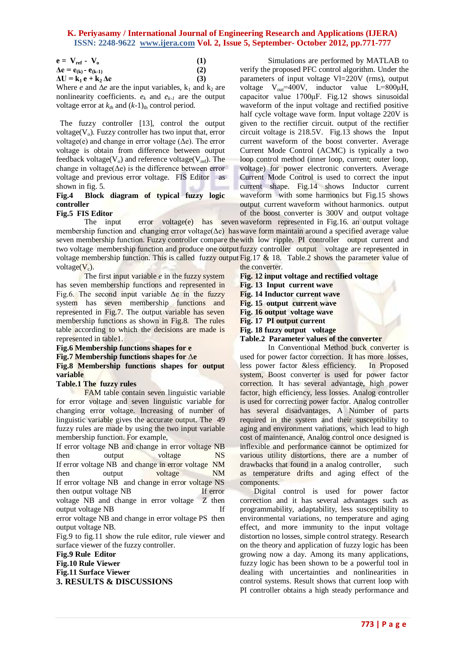| $e = V_{ref} - V_{o}$             | (1) |
|-----------------------------------|-----|
| $\Delta e = e_{(k)} - e_{(k-1)}$  | (2) |
| $\Delta U = k_1 e + k_2 \Delta e$ | (3) |

Where *e* and  $\Delta e$  are the input variables,  $k_1$  and  $k_2$  are nonlinearity coefficients.  $e_k$  and  $e_{k-1}$  are the output voltage error at  $k_{th}$  and  $(k-1)_{th}$  control period.

 The fuzzy controller [13], control the output voltage( $V_0$ ). Fuzzy controller has two input that, error voltage(e) and change in error voltage  $(\Delta e)$ . The error voltage is obtain from difference between output feedback voltage( $V_0$ ) and reference voltage( $V_{ref}$ ). The change in voltage( $\Delta e$ ) is the difference between error voltage and previous error voltage. FIS Editoras shown in fig. 5.

## **Fig.4 Block diagram of typical fuzzy logic controller**

## **Fig.5 FIS Editor**

The input error voltage(e) has seven waveform represented in Fig.16. an output voltage membership function and changing error voltage( $Δe$ ) has wave form maintain around a specified average value seven membership function. Fuzzy controller compare the with low ripple. PI controller output current and two voltage membership function and produce one output fuzzy controller output voltage are represented in voltage membership function. This is called fuzzy output  $Fig.17 \& 18$ . Table.2 shows the parameter value of voltage $(V_c)$ . the converter.

The first input variable *e* in the fuzzy system has seven membership functions and represented in Fig.6. The second input variable  $\Delta e$  in the fuzzy system has seven membership functions and represented in Fig.7. The output variable has seven membership functions as shown in Fig.8. The rules table according to which the decisions are made is represented in table1.

#### **Fig.6 Membership functions shapes for e Fig.7 Membership functions shapes for** Δ**e Fig.8 Membership functions shapes for output variable**

#### **Table.1 The fuzzy rules**

FAM table contain seven linguistic variable for error voltage and seven linguistic variable for changing error voltage. Increasing of number of linguistic variable gives the accurate output. The 49 fuzzy rules are made by using the two input variable membership function. For example,

If error voltage NB and change in error voltage NB then output voltage NS If error voltage NB and change in error voltage NM then output voltage NM If error voltage NB and change in error voltage NS then output voltage NB If error voltage NB and change in error voltage Z then output voltage NB If error voltage NB and change in error voltage PS then output voltage NB. Fig.9 to fig.11 show the rule editor, rule viewer and surface viewer of the fuzzy controller.

**Fig.9 Rule Editor Fig.10 Rule Viewer Fig.11 Surface Viewer 3. RESULTS & DISCUSSIONS**

Simulations are performed by MATLAB to verify the proposed PFC control algorithm. Under the parameters of input voltage Vl=220V (rms), output voltage  $V_{out}$ =400V, inductor value L=800 $\mu$ H, capacitor value 1700μF. Fig.12 shows sinusoidal waveform of the input voltage and rectified positive half cycle voltage wave form. Input voltage 220V is given to the rectifier circuit. output of the rectifier circuit voltage is 218.5V. Fig.13 shows the Input current waveform of the boost converter. Average Current Mode Control (ACMC) is typically a two loop control method (inner loop, current; outer loop, voltage) for power electronic converters. Average Current Mode Control is used to correct the input current shape. Fig.14 shows Inductor current waveform with some harmonics but Fig.15 shows output current waveform without harmonics. output of the boost converter is 300V and output voltage

**Fig. 12 input voltage and rectified voltage Fig. 13 Input current wave Fig. 14 Inductor current wave Fig. 15 output current wave Fig. 16 output voltage wave Fig. 17 PI output current Fig. 18 fuzzy output voltage Table.2 Parameter values of the converter**

In Conventional Method buck converter is used for power factor correction. It has more losses, less power factor &less efficiency. In Proposed system, Boost converter is used for power factor correction. It has several advantage, high power factor, high efficiency, less losses. Analog controller is used for correcting power factor. Analog controller has several disadvantages, A Number of parts required in the system and their susceptibility to aging and environment variations, which lead to high cost of maintenance, Analog control once designed is inflexible and performance cannot be optimized for various utility distortions, there are a number of drawbacks that found in a analog controller, such as temperature drifts and aging effect of the components.

Digital control is used for power factor correction and it has several advantages such as programmability, adaptability, less susceptibility to environmental variations, no temperature and aging effect, and more immunity to the input voltage distortion no losses, simple control strategy. Research on the theory and application of fuzzy logic has been growing now a day. Among its many applications, fuzzy logic has been shown to be a powerful tool in dealing with uncertainties and nonlinearities in control systems. Result shows that current loop with PI controller obtains a high steady performance and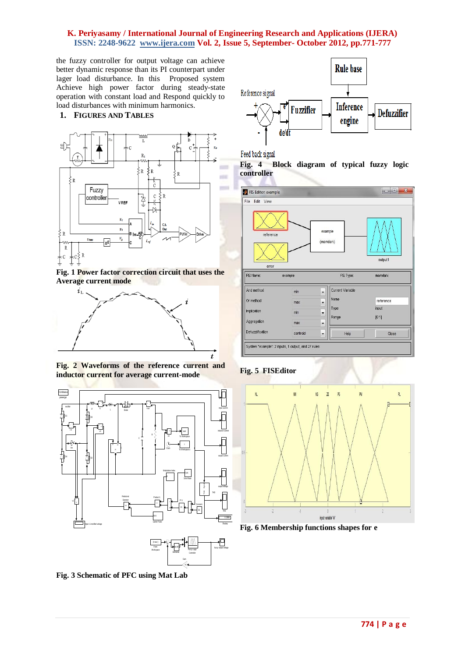the fuzzy controller for output voltage can achieve better dynamic response than its PI counterpart under lager load disturbance. In this Proposed system Achieve high power factor during steady-state operation with constant load and Respond quickly to load disturbances with minimum harmonics.

**1. FIGURES AND TABLES**



**Fig. 1 Power factor correction circuit that uses the Average current mode**



**Fig. 2 Waveforms of the reference current and inductor current for average current-mode**



Gan -K-

Derivative

**Rule base** Reference signal **Inference Fuzzifier Defuzzifier** engine de/dt

Feed back signal

**Fig. 4 Block diagram of typical fuzzy logic controller**



#### **Fig. 5 FISEditor**



**Fig. 6 Membership functions shapes for e**

**Fig. 3 Schematic of PFC using Mat Lab**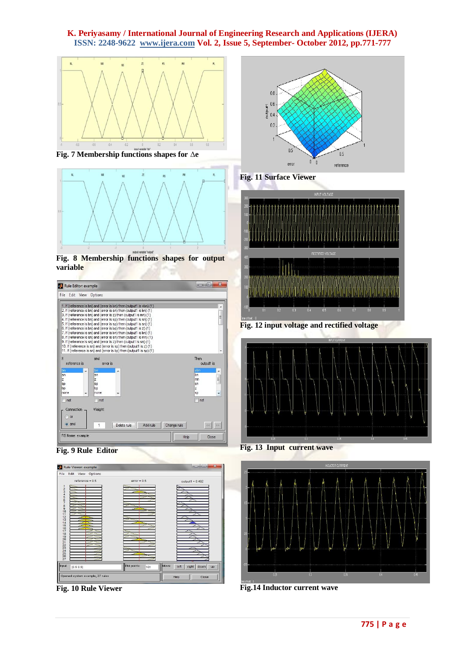

**Fig. 7 Membership functions shapes for** Δ**e**



**Fig. 8 Membership functions shapes for output variable**

| File Edit View Options<br>1. If (reference is bn) and (error is bn) then (output1 is vbn) (1)<br>2. If (reference is bn) and (error is sn) then (output1 is bn) (1)<br>3. If (reference is bn) and (error is z) then (output1 is mn) (1)<br>4. If (reference is bn) and (error is sp) then (output1 is sn) (1)<br>5. If (reference is bn) and (error is sp) then (output1 is sn) (1)<br>6. If (reference is bn) and (error is bp) then (output1 is z) (1)<br>7. If (reference is sn) and (error is bn) then (output1 is bn) (1)<br>8. If (reference is sn) and (error is sn) then (output1 is mn) (1)<br>9. If (reference is sn) and (error is z) then (output1 is sn) (1)<br>10. If (reference is sn) and (error is sp) then (output1 is z) (1)<br>11. If (reference is sn) and (error is bp) then (output1 is sp) (1)<br>Then<br>and<br>reference is<br>output1 is<br>error is<br>vbn<br>bn<br>bn<br>bn<br>sn<br>sn<br>Ę<br>z<br>z<br>mn<br>sp<br>sp<br>sn<br>z<br>bp<br>bp<br>$\ddot{}$<br>none<br>none<br>sp<br>not<br>not<br>not<br>Connection<br>Weight:<br>or<br>o and<br>55<br>Add rule<br>Change rule<br>Delete rule<br><<<br>$\mathbf{1}$ | Rule Editor: example |  | $\boldsymbol{\mathcal{R}}$<br>e |
|-----------------------------------------------------------------------------------------------------------------------------------------------------------------------------------------------------------------------------------------------------------------------------------------------------------------------------------------------------------------------------------------------------------------------------------------------------------------------------------------------------------------------------------------------------------------------------------------------------------------------------------------------------------------------------------------------------------------------------------------------------------------------------------------------------------------------------------------------------------------------------------------------------------------------------------------------------------------------------------------------------------------------------------------------------------------------------------------------------------------------------------------------------|----------------------|--|---------------------------------|
|                                                                                                                                                                                                                                                                                                                                                                                                                                                                                                                                                                                                                                                                                                                                                                                                                                                                                                                                                                                                                                                                                                                                                     |                      |  |                                 |
|                                                                                                                                                                                                                                                                                                                                                                                                                                                                                                                                                                                                                                                                                                                                                                                                                                                                                                                                                                                                                                                                                                                                                     |                      |  | E                               |
|                                                                                                                                                                                                                                                                                                                                                                                                                                                                                                                                                                                                                                                                                                                                                                                                                                                                                                                                                                                                                                                                                                                                                     | lf                   |  |                                 |
|                                                                                                                                                                                                                                                                                                                                                                                                                                                                                                                                                                                                                                                                                                                                                                                                                                                                                                                                                                                                                                                                                                                                                     |                      |  |                                 |
|                                                                                                                                                                                                                                                                                                                                                                                                                                                                                                                                                                                                                                                                                                                                                                                                                                                                                                                                                                                                                                                                                                                                                     |                      |  |                                 |
|                                                                                                                                                                                                                                                                                                                                                                                                                                                                                                                                                                                                                                                                                                                                                                                                                                                                                                                                                                                                                                                                                                                                                     | FIS Name: example    |  | Help<br>Close                   |





**Fig. 10 Rule Viewer** 



**Fig. 11 Surface Viewer** 



**Fig. 12 input voltage and rectified voltage**



**Fig. 13 Input current wave**



**Fig.14 Inductor current wave**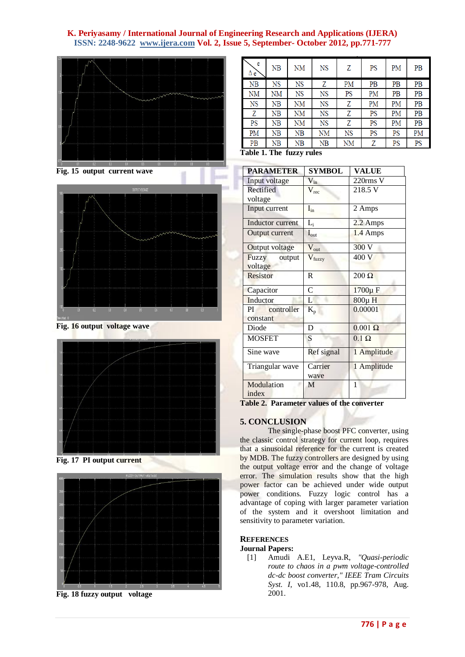

**Fig. 15 output current wave**



**Fig. 16 output voltage wave**



**Fig. 17 PI output current**



**Fig. 18 fuzzy output voltage**

| e<br>Δe | NB | NM | NS | Z  | PS | PM | PВ |
|---------|----|----|----|----|----|----|----|
| NB      | NS | NS | Ζ  | PM | PB | PB | PВ |
| NΜ      | NΜ | NS | NS | PS | PM | PB | PВ |
| NS      | ΝB | NM | NS | Z  | PM | PM | PВ |
| Ζ       | NB | NΜ | NS | Z  | PS | PM | PB |
| PS      | NB | NΜ | NS | Z  | PS | PM | PB |
| PM      | NB | NB | NM | NS | PS | PS | PM |
| PB      | NB | NB | NB | NΜ | Z  | PS | PS |

**Table 1. The fuzzy rules**

| <b>PARAMETER</b>      | <b>SYMBOL</b>    | <b>VALUE</b>   |
|-----------------------|------------------|----------------|
| Input voltage         | $V_{in}$         | 220rms V       |
| Rectified             | $V_{rec}$        | 218.5 V        |
| voltage               |                  |                |
| Input current         | $I_{in}$         | 2 Amps         |
| Inductor current      | $L_i$            | 2.2 Amps       |
| Output current        | $I_{\text{out}}$ | 1.4 Amps       |
| <b>Output voltage</b> | $V_{\rm out}$    | 300 V          |
| Fuzzy output          | $V_{fuzzy}$      | 400 V          |
| voltage               |                  |                |
| <b>Resistor</b>       | R                | $200 \Omega$   |
| Capacitor             | $\mathcal{C}$    | 1700µ F        |
| Inductor              | L                | 800μH          |
| controller<br>PI      |                  | 0.00001        |
| constant              | $K_{p}$          |                |
| Diode                 | D                | $0.001 \Omega$ |
|                       |                  |                |
| <b>MOSFET</b>         | S                | $0.1 \Omega$   |
| Sine wave             | Ref signal       | 1 Amplitude    |
| Triangular wave       | Carrier          | 1 Amplitude    |
|                       | wave             |                |
| Modulation            | M                | 1              |
| index                 |                  |                |

**Table 2. Parameter values of the converter**

## **5. CONCLUSION**

The single-phase boost PFC converter, using the classic control strategy for current loop, requires that a sinusoidal reference for the current is created by MDB. The fuzzy controllers are designed by using the output voltage error and the change of voltage error. The simulation results show that the high power factor can be achieved under wide output power conditions. Fuzzy logic control has a advantage of coping with larger parameter variation of the system and it overshoot limitation and sensitivity to parameter variation.

## **REFERENCES**

#### **Journal Papers:**

[1] Amudi A.E1, Leyva.R, *"Quasi-periodic route to chaos in a pwm voltage-controlled dc-dc boost converter," IEEE Tram Circuits Syst. I,* vo1.48, 110.8, pp.967-978, Aug. 2001.